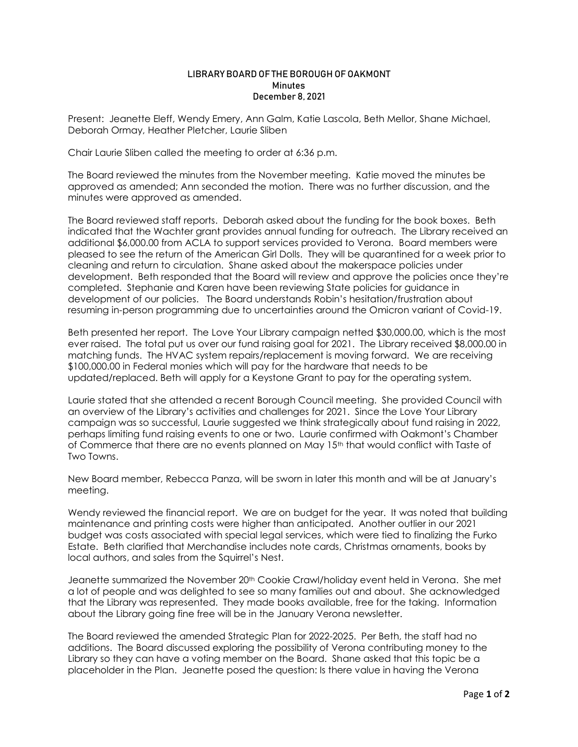## LIBRARY BOARD OF THE BOROUGH OF OAKMONT **Minutes** December 8, 2021

Present: Jeanette Eleff, Wendy Emery, Ann Galm, Katie Lascola, Beth Mellor, Shane Michael, Deborah Ormay, Heather Pletcher, Laurie Sliben

Chair Laurie Sliben called the meeting to order at 6:36 p.m.

The Board reviewed the minutes from the November meeting. Katie moved the minutes be approved as amended; Ann seconded the motion. There was no further discussion, and the minutes were approved as amended.

The Board reviewed staff reports. Deborah asked about the funding for the book boxes. Beth indicated that the Wachter grant provides annual funding for outreach. The Library received an additional \$6,000.00 from ACLA to support services provided to Verona. Board members were pleased to see the return of the American Girl Dolls. They will be quarantined for a week prior to cleaning and return to circulation. Shane asked about the makerspace policies under development. Beth responded that the Board will review and approve the policies once they're completed. Stephanie and Karen have been reviewing State policies for guidance in development of our policies. The Board understands Robin's hesitation/frustration about resuming in-person programming due to uncertainties around the Omicron variant of Covid-19.

Beth presented her report. The Love Your Library campaign netted \$30,000.00, which is the most ever raised. The total put us over our fund raising goal for 2021. The Library received \$8,000.00 in matching funds. The HVAC system repairs/replacement is moving forward. We are receiving \$100,000.00 in Federal monies which will pay for the hardware that needs to be updated/replaced. Beth will apply for a Keystone Grant to pay for the operating system.

Laurie stated that she attended a recent Borough Council meeting. She provided Council with an overview of the Library's activities and challenges for 2021. Since the Love Your Library campaign was so successful, Laurie suggested we think strategically about fund raising in 2022, perhaps limiting fund raising events to one or two. Laurie confirmed with Oakmont's Chamber of Commerce that there are no events planned on May 15th that would conflict with Taste of Two Towns.

New Board member, Rebecca Panza, will be sworn in later this month and will be at January's meeting.

Wendy reviewed the financial report. We are on budget for the year. It was noted that building maintenance and printing costs were higher than anticipated. Another outlier in our 2021 budget was costs associated with special legal services, which were tied to finalizing the Furko Estate. Beth clarified that Merchandise includes note cards, Christmas ornaments, books by local authors, and sales from the Squirrel's Nest.

Jeanette summarized the November 20<sup>th</sup> Cookie Crawl/holiday event held in Verona. She met a lot of people and was delighted to see so many families out and about. She acknowledged that the Library was represented. They made books available, free for the taking. Information about the Library going fine free will be in the January Verona newsletter.

The Board reviewed the amended Strategic Plan for 2022-2025. Per Beth, the staff had no additions. The Board discussed exploring the possibility of Verona contributing money to the Library so they can have a voting member on the Board. Shane asked that this topic be a placeholder in the Plan. Jeanette posed the question: Is there value in having the Verona